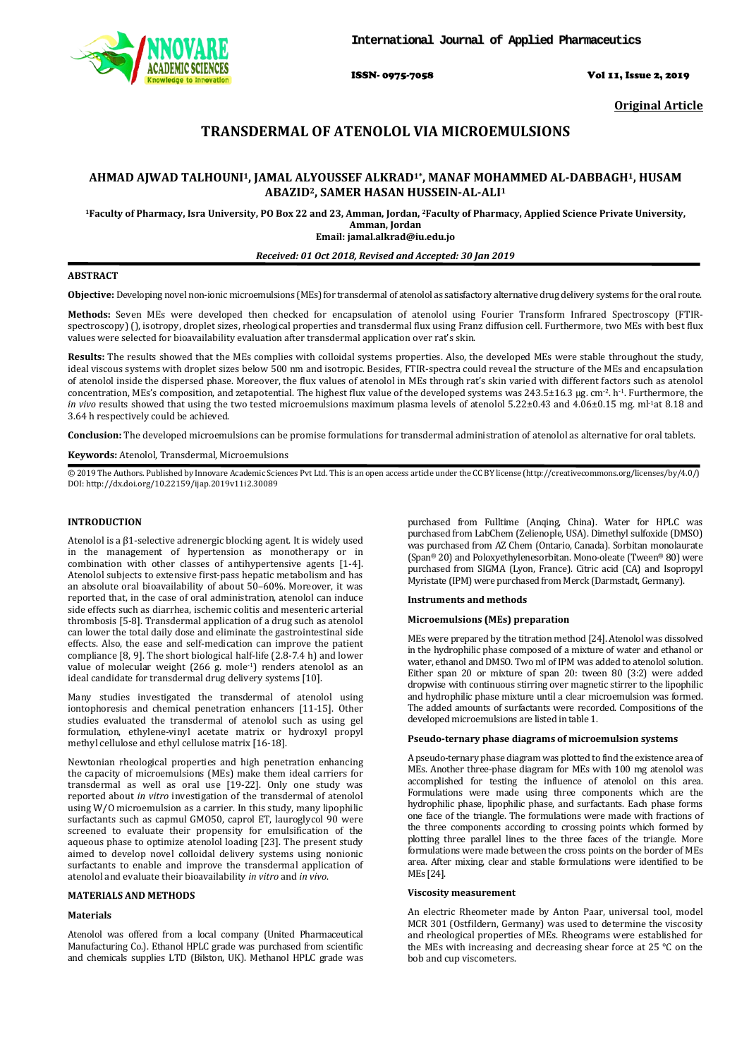

ISSN- 0975-7058 Vol 11, Issue 2, 2019

**Original Article**

# **TRANSDERMAL OF ATENOLOL VIA MICROEMULSIONS**

## **AHMAD AJWAD TALHOUNI1, JAMAL ALYOUSSEF ALKRAD1\*, MANAF MOHAMMED AL-DABBAGH1, HUSAM ABAZID2, SAMER HASAN HUSSEIN-AL-ALI1**

<sup>1</sup>Faculty of Pharmacy, Isra University, PO Box 22 and 23, Amman, Jordan, <sup>2</sup>Faculty of Pharmacy, Applied Science Private University, **Amman, Jordan**

**Email: jamal.alkrad@iu.edu.jo**

## *Received: 01 Oct 2018, Revised and Accepted: 30 Jan 2019*

## **ABSTRACT**

Objective: Developing novel non-ionic microemulsions (MEs) for transdermal of atenolol as satisfactory alternative drug delivery systems for the oral route.

**Methods:** Seven MEs were developed then checked for encapsulation of atenolol using Fourier Transform Infrared Spectroscopy (FTIRspectroscopy) (), isotropy, droplet sizes, rheological properties and transdermal flux using Franz diffusion cell. Furthermore, two MEs with best flux values were selected for bioavailability evaluation after transdermal application over rat's skin.

**Results:** The results showed that the MEs complies with colloidal systems properties. Also, the developed MEs were stable throughout the study, ideal viscous systems with droplet sizes below 500 nm and isotropic. Besides, FTIR-spectra could reveal the structure of the MEs and encapsulation of atenolol inside the dispersed phase. Moreover, the flux values of atenolol in MEs through rat's skin varied with different factors such as atenolol concentration, MEs's composition, and zetapotential. The highest flux value of the developed systems was  $243.5\pm16.3$  µg. cm<sup>-2</sup>. h<sup>-1</sup>. Furthermore, the *in vivo* results showed that using the two tested microemulsions maximum plasma levels of atenolol 5.22±0.43 and 4.06±0.15 mg. ml<sup>1</sup>at 8.18 and 3.64 h respectively could be achieved.

**Conclusion:** The developed microemulsions can be promise formulations for transdermal administration of atenolol as alternative for oral tablets.

### **Keywords:** Atenolol, Transdermal, Microemulsions

© 2019 The Authors. Published by Innovare Academic Sciences Pvt Ltd. This is an open access article under the CC BY license [\(http://creativecommons.org/licenses/by/4.0/\)](http://creativecommons.org/licenses/by/4.0/) DOI: http://dx.doi.org/10.22159/ijap.2019v11i2.30089

#### **INTRODUCTION**

Atenolol is a β1-selective adrenergic blocking agent. It is widely used in the management of hypertension as monotherapy or in combination with other classes of antihypertensive agents [1-4]. Atenolol subjects to extensive first-pass hepatic metabolism and has an absolute oral bioavailability of about  $50-60$ %. Moreover, it was reported that, in the case of oral administration, atenolol can induce side effects such as diarrhea, ischemic colitis and mesenteric arterial thrombosis [5-8]. Transdermal application of a drug such as atenolol can lower the total daily dose and eliminate the gastrointestinal side effects. Also, the ease and self-medication can improve the patient compliance [8, 9]. The short biological half-life (2.8-7.4 h) and lower value of molecular weight (266 g. mole-1 ) renders atenolol as an ideal candidate for transdermal drug delivery systems [10].

Many studies investigated the transdermal of atenolol using iontophoresis and chemical penetration enhancers [11-15]. Other studies evaluated the transdermal of atenolol such as using gel formulation, ethylene-vinyl acetate matrix or hydroxyl propyl methyl cellulose and ethyl cellulose matrix [16-18].

Newtonian rheological properties and high penetration enhancing the capacity of microemulsions (MEs) make them ideal carriers for transdermal as well as oral use [19-22]. Only one study was reported about *in vitro* investigation of the transdermal of atenolol using W/O microemulsion as a carrier. In this study, many lipophilic surfactants such as capmul GMO50, caprol ET, lauroglycol 90 were screened to evaluate their propensity for emulsification of the aqueous phase to optimize atenolol loading [23]. The present study aimed to develop novel colloidal delivery systems using nonionic surfactants to enable and improve the transdermal application of atenolol and evaluate their bioavailability *in vitro* and *in vivo*.

#### **MATERIALS AND METHODS**

## **Materials**

Atenolol was offered from a local company (United Pharmaceutical Manufacturing Co.). Ethanol HPLC grade was purchased from scientific and chemicals supplies LTD (Bilston, UK). Methanol HPLC grade was

purchased from Fulltime (Anqing, China). Water for HPLC was purchased from LabChem (Zelienople, USA). Dimethyl sulfoxide (DMSO) was purchased from AZ Chem (Ontario, Canada). Sorbitan monolaurate (Span*<sup>P</sup>* ®*<sup>P</sup>* 20) and Poloxyethylenesorbitan. Mono-oleate (Tween*<sup>P</sup>* ®*<sup>P</sup>* 80) were purchased from SIGMA (Lyon, France). Citric acid (CA) and Isopropyl Myristate (IPM) were purchased from Merck (Darmstadt, Germany).

## **Instruments and methods**

#### **Microemulsions (MEs) preparation**

MEs were prepared by the titration method [24]. Atenolol was dissolved in the hydrophilic phase composed of a mixture of water and ethanol or water, ethanol and DMSO. Two ml of IPM was added to atenolol solution. Either span 20 or mixture of span 20: tween 80 (3:2) were added dropwise with continuous stirring over magnetic stirrer to the lipophilic and hydrophilic phase mixture until a clear microemulsion was formed. The added amounts of surfactants were recorded. Compositions of the developed microemulsions are listed in table 1.

## **Pseudo-ternary phase diagrams of microemulsion systems**

A pseudo-ternary phase diagram was plotted to find the existence area of MEs. Another three-phase diagram for MEs with 100 mg atenolol was accomplished for testing the influence of atenolol on this area. Formulations were made using three components which are the hydrophilic phase, lipophilic phase, and surfactants. Each phase forms one face of the triangle. The formulations were made with fractions of the three components according to crossing points which formed by plotting three parallel lines to the three faces of the triangle. More formulations were made between the cross points on the border of MEs area. After mixing, clear and stable formulations were identified to be MEs [24].

#### **Viscosity measurement**

An electric Rheometer made by Anton Paar, universal tool, model MCR 301 (Ostfildern, Germany) was used to determine the viscosity and rheological properties of MEs. Rheograms were established for the MEs with increasing and decreasing shear force at 25 °C on the bob and cup viscometers.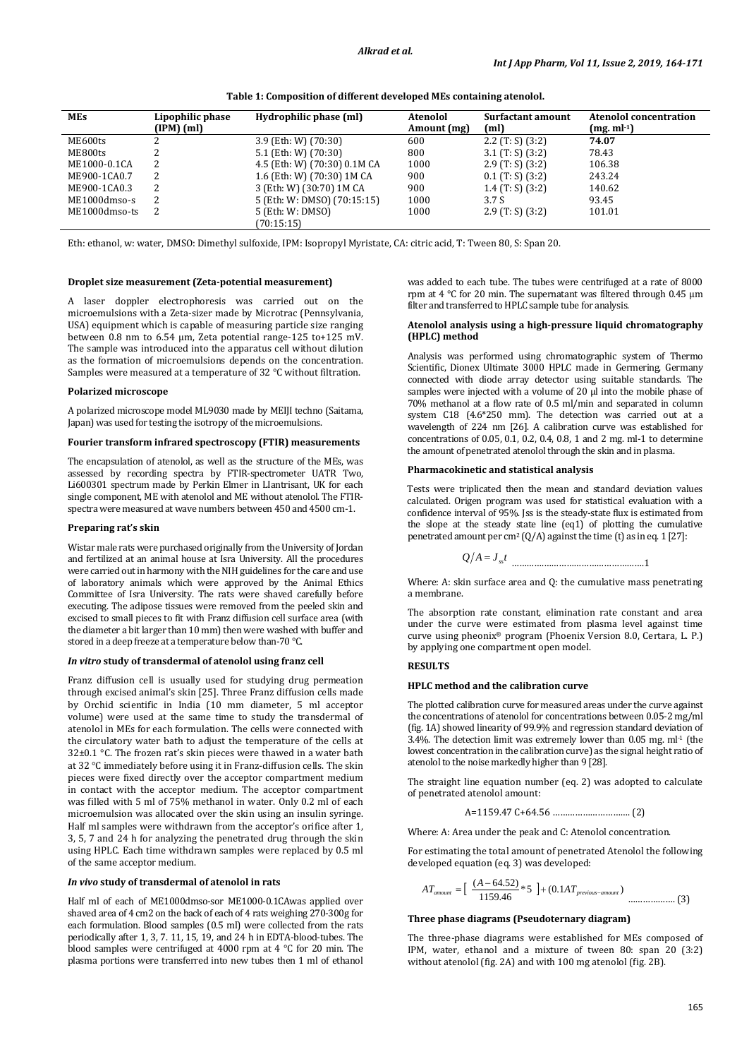| MEs           | Lipophilic phase<br>$(IPM)$ $(ml)$ | Hydrophilic phase (ml)       | <b>Atenolol</b><br>Amount (mg) | Surfactant amount<br>(m <sub>l</sub> ) | <b>Atenolol concentration</b><br>$(mg. ml-1)$ |
|---------------|------------------------------------|------------------------------|--------------------------------|----------------------------------------|-----------------------------------------------|
| ME600ts       |                                    | 3.9 (Eth: W) (70:30)         | 600                            | $2.2$ (T: S) (3:2)                     | 74.07                                         |
| ME800ts       |                                    | 5.1 (Eth: W) $(70:30)$       | 800                            | 3.1 $(T: S)$ (3:2)                     | 78.43                                         |
| ME1000-0.1CA  | 2                                  | 4.5 (Eth: W) (70:30) 0.1M CA | 1000                           | $2.9$ (T: S) (3:2)                     | 106.38                                        |
| ME900-1CA0.7  | 2                                  | 1.6 (Eth: W) (70:30) 1M CA   | 900                            | $0.1$ (T: S) (3:2)                     | 243.24                                        |
| ME900-1CA0.3  | 2                                  | 3 (Eth: W) (30:70) 1M CA     | 900                            | $1.4$ (T: S) (3:2)                     | 140.62                                        |
| ME1000dmso-s  | 2                                  | 5 (Eth: W: DMSO) (70:15:15)  | 1000                           | 3.7S                                   | 93.45                                         |
| ME1000dmso-ts | 2                                  | 5 (Eth: W: DMSO)             | 1000                           | $2.9$ (T: S) (3:2)                     | 101.01                                        |
|               |                                    | (70:15:15)                   |                                |                                        |                                               |

**Table 1: Composition of different developed MEs containing atenolol.**

Eth: ethanol, w: water, DMSO: Dimethyl sulfoxide, IPM: Isopropyl Myristate, CA: citric acid, T: Tween 80, S: Span 20.

#### **Droplet size measurement (Zeta-potential measurement)**

A laser doppler electrophoresis was carried out on the microemulsions with a Zeta-sizer made by Microtrac (Pennsylvania, USA) equipment which is capable of measuring particle size ranging between 0.8 nm to 6.54 µm, Zeta potential range-125 to+125 mV. The sample was introduced into the apparatus cell without dilution as the formation of microemulsions depends on the concentration. Samples were measured at a temperature of 32 °C without filtration.

#### **Polarized microscope**

A polarized microscope model ML9030 made by MEIJI techno (Saitama, Japan) was used for testing the isotropy of the microemulsions.

## **Fourier transform infrared spectroscopy (FTIR) measurements**

The encapsulation of atenolol, as well as the structure of the MEs, was assessed by recording spectra by FTIR-spectrometer UATR Two, Li600301 spectrum made by Perkin Elmer in LIantrisant, UK for each single component, ME with atenolol and ME without atenolol. The FTIRspectra were measured at wave numbers between 450 and 4500 cm-1.

## **Preparing rat's skin**

Wistar male rats were purchased originally from the University of Jordan and fertilized at an animal house at Isra University. All the procedures were carried out in harmony with the NIH guidelines for the care and use of laboratory animals which were approved by the Animal Ethics Committee of Isra University. The rats were shaved carefully before executing. The adipose tissues were removed from the peeled skin and excised to small pieces to fit with Franz diffusion cell surface area (with the diameter a bit larger than 10 mm) then were washed with buffer and stored in a deep freeze at a temperature below than-70 °C.

## *In vitro* **study of transdermal of atenolol using franz cell**

Franz diffusion cell is usually used for studying drug permeation through excised animal's skin [25]. Three Franz diffusion cells made by Orchid scientific in India (10 mm diameter, 5 ml acceptor volume) were used at the same time to study the transdermal of atenolol in MEs for each formulation. The cells were connected with the circulatory water bath to adjust the temperature of the cells at 32±0.1 °C. The frozen rat's skin pieces were thawed in a water bath at 32 °C immediately before using it in Franz-diffusion cells. The skin pieces were fixed directly over the acceptor compartment medium in contact with the acceptor medium. The acceptor compartment was filled with 5 ml of 75% methanol in water. Only 0.2 ml of each microemulsion was allocated over the skin using an insulin syringe. Half ml samples were withdrawn from the acceptor's orifice after 1, 3, 5, 7 and 24 h for analyzing the penetrated drug through the skin using HPLC. Each time withdrawn samples were replaced by 0.5 ml of the same acceptor medium.

#### *In vivo* **study of transdermal of atenolol in rats**

Half ml of each of ME1000dmso-sor ME1000-0.1CAwas applied over shaved area of 4 cm2 on the back of each of 4 rats weighing 270-300g for each formulation. Blood samples (0.5 ml) were collected from the rats periodically after 1, 3, 7. 11, 15, 19, and 24 h in EDTA-blood-tubes. The blood samples were centrifuged at 4000 rpm at 4 °C for 20 min. The plasma portions were transferred into new tubes then 1 ml of ethanol

was added to each tube. The tubes were centrifuged at a rate of 8000 rpm at 4 °C for 20 min. The supernatant was filtered through 0.45 µm filter and transferred to HPLC sample tube for analysis.

## **Atenolol analysis using a high-pressure liquid chromatography (HPLC) method**

Analysis was performed using chromatographic system of Thermo Scientific, Dionex Ultimate 3000 HPLC made in Germering, Germany connected with diode array detector using suitable standards. The samples were injected with a volume of 20  $\mu$ l into the mobile phase of 70% methanol at a flow rate of 0.5 ml/min and separated in column system C18 (4.6\*250 mm). The detection was carried out at a wavelength of 224 nm [26]. A calibration curve was established for concentrations of 0.05, 0.1, 0.2, 0.4, 0.8, 1 and 2 mg. ml-1 to determine the amount of penetrated atenolol through the skin and in plasma.

#### **Pharmacokinetic and statistical analysis**

Tests were triplicated then the mean and standard deviation values calculated. Origen program was used for statistical evaluation with a confidence interval of 95%. Jss is the steady-state flux is estimated from the slope at the steady state line (eq1) of plotting the cumulative  $penetrated amount per cm<sup>2</sup> (Q/A) against the time (t) as in eq. 1 [27]:$ 

$$
Q/A = J_{st}
$$
 \n
$$
\dots
$$

Where: A: skin surface area and Q: the cumulative mass penetrating a membrane.

The absorption rate constant, elimination rate constant and area under the curve were estimated from plasma level against time curve using pheonix® program (Phoenix Version 8.0, Certara, L. P.) by applying one compartment open model.

## **RESULTS**

## **HPLC method and the calibration curve**

The plotted calibration curve for measured areas under the curve against the concentrations of atenolol for concentrations between 0.05-2 mg/ml (fig. 1A) showed linearity of 99.9% and regression standard deviation of  $3.4\%$ . The detection limit was extremely lower than  $0.05$  mg. ml<sup>-1</sup> (the lowest concentration in the calibration curve) as the signal height ratio of atenolol to the noise markedly higher than 9 [28].

The straight line equation number (eq. 2) was adopted to calculate of penetrated atenolol amount:

A=1159.47 C+64.56 …………………………. (2)

Where: A: Area under the peak and C: Atenolol concentration.

For estimating the total amount of penetrated Atenolol the following developed equation (eq. 3) was developed:

$$
AT_{amount} = \left[ \begin{array}{c} (A - 64.52) \\ 1159.46 \end{array} * 5 \right] + (0.1AT_{previous-amount})
$$

## **Three phase diagrams (Pseudoternary diagram)**

The three-phase diagrams were established for MEs composed of IPM, water, ethanol and a mixture of tween 80: span 20 (3:2) without atenolol (fig. 2A) and with 100 mg atenolol (fig. 2B).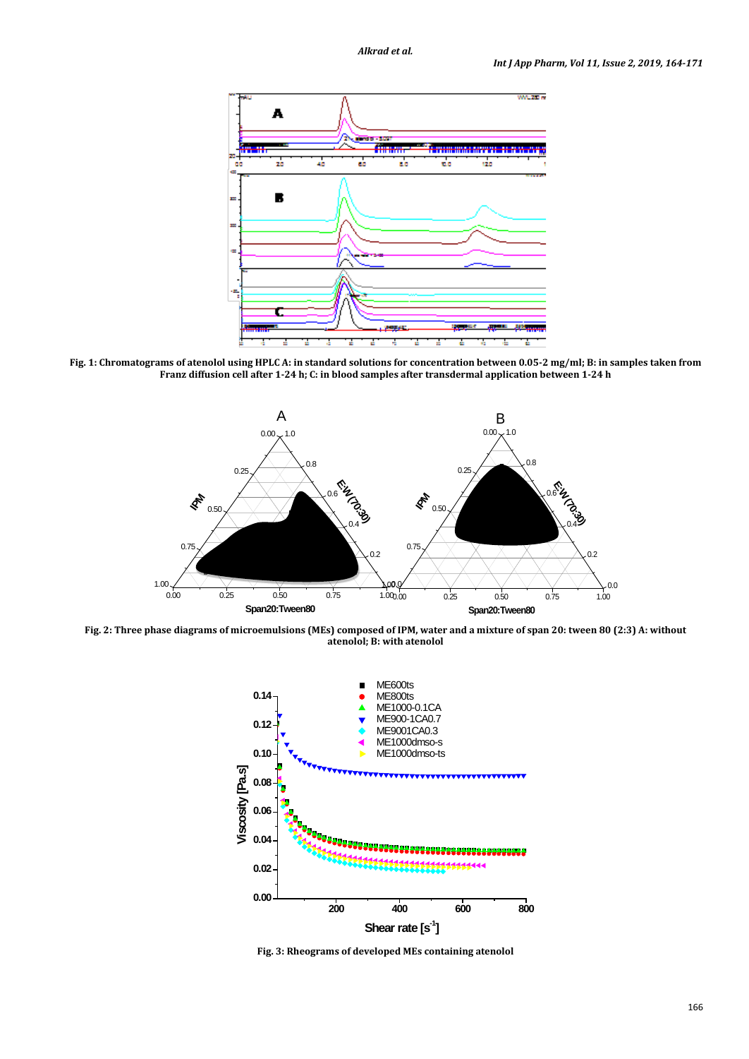

**Fig. 1: Chromatograms of atenolol using HPLC A: in standard solutions for concentration between 0.05-2 mg/ml; B: in samples taken from Franz diffusion cell after 1-24 h; C: in blood samples after transdermal application between 1-24 h**



**Fig. 2: Three phase diagrams of microemulsions (MEs) composed of IPM, water and a mixture of span 20: tween 80 (2:3) A: without atenolol; B: with atenolol**



**Fig. 3: Rheograms of developed MEs containing atenolol**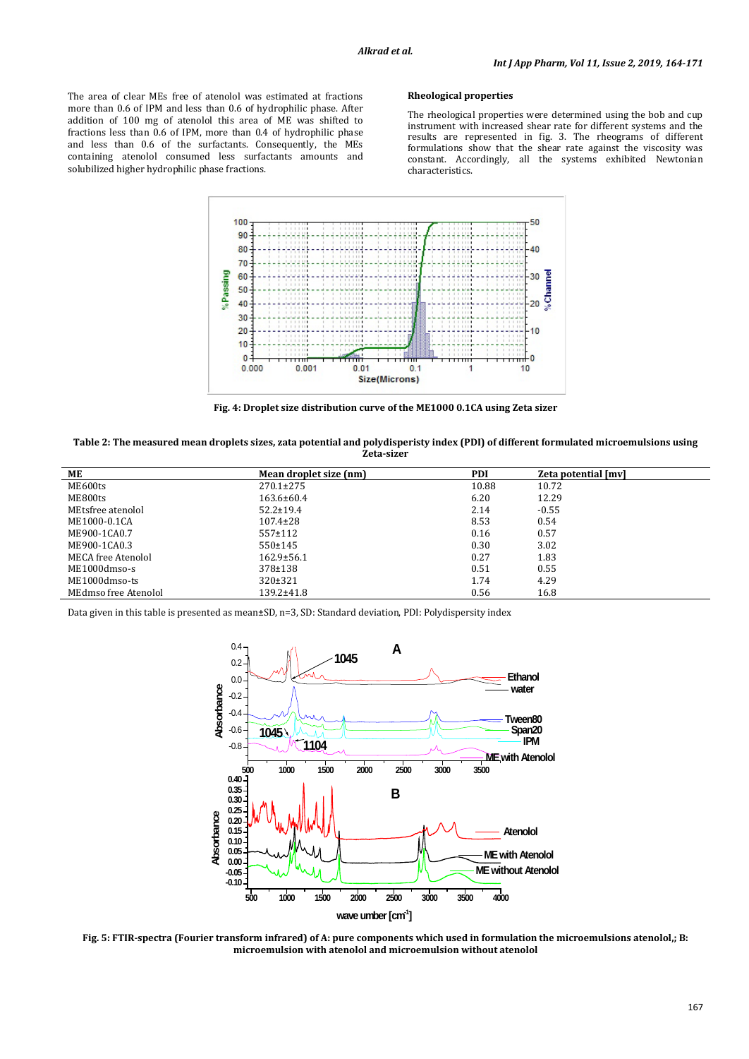The area of clear MEs free of atenolol was estimated at fractions more than 0.6 of IPM and less than 0.6 of hydrophilic phase. After addition of 100 mg of atenolol this area of ME was shifted to fractions less than 0.6 of IPM, more than 0.4 of hydrophilic phase and less than 0.6 of the surfactants. Consequently, the MEs containing atenolol consumed less surfactants amounts and solubilized higher hydrophilic phase fractions.

## **Rheological properties**

The rheological properties were determined using the bob and cup instrument with increased shear rate for different systems and the results are represented in fig. 3. The rheograms of different formulations show that the shear rate against the viscosity was constant. Accordingly, all the systems exhibited Newtonian characteristics.



**Fig. 4: Droplet size distribution curve of the ME1000 0.1CA using Zeta sizer**

| Table 2: The measured mean droplets sizes, zata potential and polydisperisty index (PDI) of different formulated microemulsions using |
|---------------------------------------------------------------------------------------------------------------------------------------|
| Zeta-sizer                                                                                                                            |

| ME                   | Mean droplet size (nm) | <b>PDI</b> | Zeta potential [mv] |
|----------------------|------------------------|------------|---------------------|
| ME600ts              | $270.1 \pm 275$        | 10.88      | 10.72               |
| ME800ts              | $163.6 \pm 60.4$       | 6.20       | 12.29               |
| MEtsfree atenolol    | $52.2 \pm 19.4$        | 2.14       | $-0.55$             |
| ME1000-0.1CA         | $107.4 \pm 28$         | 8.53       | 0.54                |
| ME900-1CA0.7         | $557+112$              | 0.16       | 0.57                |
| ME900-1CA0.3         | 550±145                | 0.30       | 3.02                |
| MECA free Atenolol   | $162.9 \pm 56.1$       | 0.27       | 1.83                |
| ME1000dmso-s         | 378±138                | 0.51       | 0.55                |
| ME1000dmso-ts        | $320 \pm 321$          | 1.74       | 4.29                |
| MEdmso free Atenolol | $139.2 \pm 41.8$       | 0.56       | 16.8                |

Data given in this table is presented as mean±SD, n=3, SD: Standard deviation, PDI: Polydispersity index



**Fig. 5: FTIR-spectra (Fourier transform infrared) of A: pure components which used in formulation the microemulsions atenolol,; B: microemulsion with atenolol and microemulsion without atenolol**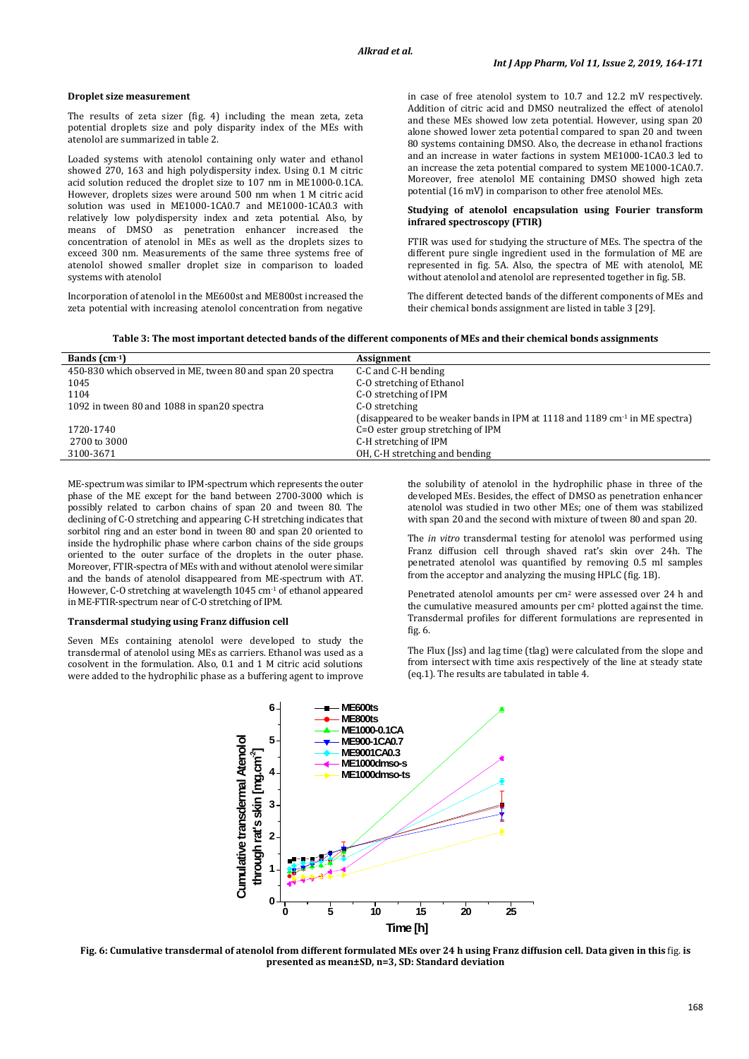#### **Droplet size measurement**

The results of zeta sizer (fig. 4) including the mean zeta, zeta potential droplets size and poly disparity index of the MEs with atenolol are summarized in table 2.

Loaded systems with atenolol containing only water and ethanol showed 270, 163 and high polydispersity index. Using 0.1 M citric acid solution reduced the droplet size to 107 nm in ME1000-0.1CA. However, droplets sizes were around 500 nm when 1 M citric acid solution was used in ME1000-1CA0.7 and ME1000-1CA0.3 with relatively low polydispersity index and zeta potential. Also, by means of DMSO as penetration enhancer increased the concentration of atenolol in MEs as well as the droplets sizes to exceed 300 nm. Measurements of the same three systems free of atenolol showed smaller droplet size in comparison to loaded systems with atenolol

Incorporation of atenolol in the ME600st and ME800st increased the zeta potential with increasing atenolol concentration from negative in case of free atenolol system to 10.7 and 12.2 mV respectively. Addition of citric acid and DMSO neutralized the effect of atenolol and these MEs showed low zeta potential. However, using span 20 alone showed lower zeta potential compared to span 20 and tween 80 systems containing DMSO. Also, the decrease in ethanol fractions and an increase in water factions in system ME1000-1CA0.3 led to an increase the zeta potential compared to system ME1000-1CA0.7. Moreover, free atenolol ME containing DMSO showed high zeta potential (16 mV) in comparison to other free atenolol MEs.

#### **Studying of atenolol encapsulation using Fourier transform infrared spectroscopy (FTIR)**

FTIR was used for studying the structure of MEs. The spectra of the different pure single ingredient used in the formulation of ME are represented in fig. 5A. Also, the spectra of ME with atenolol, ME without atenolol and atenolol are represented together in fig. 5B.

The different detected bands of the different components of MEs and their chemical bonds assignment are listed in table 3 [29].

| Table 3: The most important detected bands of the different components of MEs and their chemical bonds assignments |  |
|--------------------------------------------------------------------------------------------------------------------|--|
|--------------------------------------------------------------------------------------------------------------------|--|

| Bands $(cm-1)$                                             | Assignment                                                                              |
|------------------------------------------------------------|-----------------------------------------------------------------------------------------|
| 450-830 which observed in ME, tween 80 and span 20 spectra | C-C and C-H bending                                                                     |
| 1045                                                       | C-O stretching of Ethanol                                                               |
| 1104                                                       | C-O stretching of IPM                                                                   |
| 1092 in tween 80 and 1088 in span20 spectra                | C-O stretching                                                                          |
|                                                            | (disappeared to be weaker bands in IPM at 1118 and 1189 cm <sup>-1</sup> in ME spectra) |
| 1720-1740                                                  | C=O ester group stretching of IPM                                                       |
| 2700 to 3000                                               | C-H stretching of IPM                                                                   |
| 3100-3671                                                  | OH, C-H stretching and bending                                                          |
|                                                            |                                                                                         |

ME-spectrum was similar to IPM-spectrum which represents the outer phase of the ME except for the band between 2700-3000 which is possibly related to carbon chains of span 20 and tween 80. The declining of C-O stretching and appearing C-H stretching indicates that sorbitol ring and an ester bond in tween 80 and span 20 oriented to inside the hydrophilic phase where carbon chains of the side groups oriented to the outer surface of the droplets in the outer phase. Moreover, FTIR-spectra of MEs with and without atenolol were similar and the bands of atenolol disappeared from ME-spectrum with AT. However, C-O stretching at wavelength 1045 cm<sup>-1</sup> of ethanol appeared in ME-FTIR-spectrum near of C-O stretching of IPM.

#### **Transdermal studying using Franz diffusion cell**

Seven MEs containing atenolol were developed to study the transdermal of atenolol using MEs as carriers. Ethanol was used as a cosolvent in the formulation. Also, 0.1 and 1 M citric acid solutions were added to the hydrophilic phase as a buffering agent to improve the solubility of atenolol in the hydrophilic phase in three of the developed MEs. Besides, the effect of DMSO as penetration enhancer atenolol was studied in two other MEs; one of them was stabilized with span 20 and the second with mixture of tween 80 and span 20.

The *in vitro* transdermal testing for atenolol was performed using Franz diffusion cell through shaved rat's skin over 24h. The penetrated atenolol was quantified by removing 0.5 ml samples from the acceptor and analyzing the musing HPLC (fig. 1B).

Penetrated atenolol amounts per cm<sup>2</sup> were assessed over 24 h and the cumulative measured amounts per cm<sup>2</sup> plotted against the time. Transdermal profiles for different formulations are represented in fig. 6.

The Flux (Jss) and lag time (tlag) were calculated from the slope and from intersect with time axis respectively of the line at steady state (eq.1). The results are tabulated in table 4.



**Fig. 6: Cumulative transdermal of atenolol from different formulated MEs over 24 h using Franz diffusion cell. Data given in this** fig. **is presented as mean±SD, n=3, SD: Standard deviation**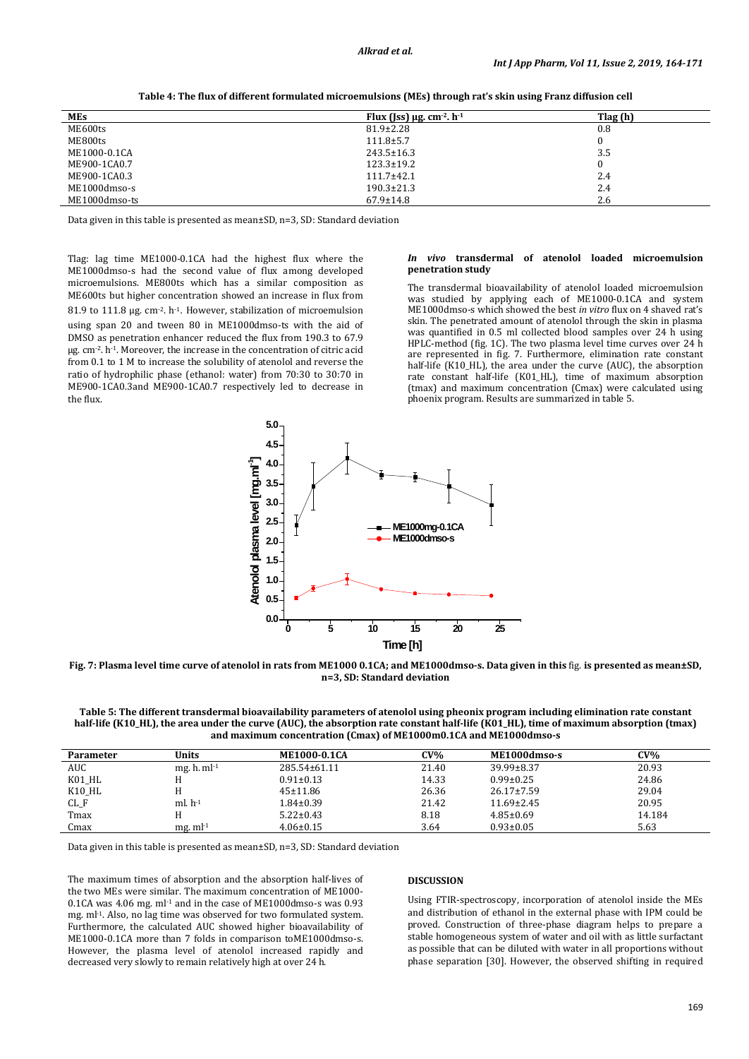| <b>MEs</b>    | Flux (Jss) $\mu$ g. cm <sup>-2</sup> . h <sup>-1</sup> | Tlag (h) |
|---------------|--------------------------------------------------------|----------|
| ME600ts       | $81.9 \pm 2.28$                                        | 0.8      |
| ME800ts       | $111.8 \pm 5.7$                                        |          |
| ME1000-0.1CA  | $243.5 \pm 16.3$                                       | 3.5      |
| ME900-1CA0.7  | $123.3 \pm 19.2$                                       |          |
| ME900-1CA0.3  | $111.7 \pm 42.1$                                       | 2.4      |
| ME1000dmso-s  | $190.3 \pm 21.3$                                       | 2.4      |
| ME1000dmso-ts | $67.9 \pm 14.8$                                        | 2.6      |

**Table 4: The flux of different formulated microemulsions (MEs) through rat's skin using Franz diffusion cell**

Data given in this table is presented as mean±SD, n=3, SD: Standard deviation

Tlag: lag time ME1000-0.1CA had the highest flux where the ME1000dmso-s had the second value of flux among developed microemulsions. ME800ts which has a similar composition as ME600ts but higher concentration showed an increase in flux from 81.9 to 111.8 μg. cm<sup>-2</sup>. h<sup>-1</sup>. However, stabilization of microemulsion using span 20 and tween 80 in ME1000dmso-ts with the aid of DMSO as penetration enhancer reduced the flux from 190.3 to 67.9  $\mu$ g. cm<sup>-2</sup>. h<sup>-1</sup>. Moreover, the increase in the concentration of citric acid from 0.1 to 1 M to increase the solubility of atenolol and reverse the ratio of hydrophilic phase (ethanol: water) from 70:30 to 30:70 in ME900-1CA0.3and ME900-1CA0.7 respectively led to decrease in the flux.

#### *In vivo* **transdermal of atenolol loaded microemulsion penetration study**

The transdermal bioavailability of atenolol loaded microemulsion was studied by applying each of ME1000-0.1CA and system ME1000dmso-s which showed the best *in vitro* flux on 4 shaved rat's skin. The penetrated amount of atenolol through the skin in plasma was quantified in 0.5 ml collected blood samples over 24 h using HPLC-method (fig. 1C). The two plasma level time curves over 24 h are represented in fig. 7. Furthermore, elimination rate constant half-life (K10\_HL), the area under the curve (AUC), the absorption rate constant half-life (K01\_HL), time of maximum absorption (tmax) and maximum concentration (Cmax) were calculated using phoenix program. Results are summarized in table 5.



**Fig. 7: Plasma level time curve of atenolol in rats from ME1000 0.1CA; and ME1000dmso-s. Data given in this** fig. **is presented as mean±SD, n=3, SD: Standard deviation**

| Table 5: The different transdermal bioavailability parameters of atenolol using pheonix program including elimination rate constant    |
|----------------------------------------------------------------------------------------------------------------------------------------|
| half-life (K10_HL), the area under the curve (AUC), the absorption rate constant half-life (K01_HL), time of maximum absorption (tmax) |
| and maximum concentration (Cmax) of ME1000m0.1CA and ME1000dmso-s                                                                      |

| Parameter  | Units            | <b>ME1000-0.1CA</b> | CV%   | ME1000dmso-s     | CV%    |
|------------|------------------|---------------------|-------|------------------|--------|
| <b>AUC</b> | mg. $h.$ m $l-1$ | 285.54±61.11        | 21.40 | 39.99±8.37       | 20.93  |
| K01_HL     |                  | $0.91 \pm 0.13$     | 14.33 | $0.99 \pm 0.25$  | 24.86  |
| K10 HL     |                  | $45 \pm 11.86$      | 26.36 | $26.17 \pm 7.59$ | 29.04  |
| $CL_F$     | $ml. h-1$        | $1.84 \pm 0.39$     | 21.42 | $11.69 \pm 2.45$ | 20.95  |
| Tmax       |                  | $5.22 \pm 0.43$     | 8.18  | $4.85 \pm 0.69$  | 14.184 |
| Cmax       | $mg. ml-1$       | $4.06 \pm 0.15$     | 3.64  | $0.93 \pm 0.05$  | 5.63   |

Data given in this table is presented as mean±SD, n=3, SD: Standard deviation

The maximum times of absorption and the absorption half-lives of the two MEs were similar. The maximum concentration of ME1000- 0.1CA was 4.06 mg. ml<sup>-1</sup> and in the case of ME1000dmso-s was 0.93 mg. ml<sup>-1</sup>. Also, no lag time was observed for two formulated system. Furthermore, the calculated AUC showed higher bioavailability of ME1000-0.1CA more than 7 folds in comparison toME1000dmso-s. However, the plasma level of atenolol increased rapidly and decreased very slowly to remain relatively high at over 24 h.

## **DISCUSSION**

Using FTIR-spectroscopy, incorporation of atenolol inside the MEs and distribution of ethanol in the external phase with IPM could be proved. Construction of three-phase diagram helps to prepare a stable homogeneous system of water and oil with as little surfactant as possible that can be diluted with water in all proportions without phase separation [30]. However, the observed shifting in required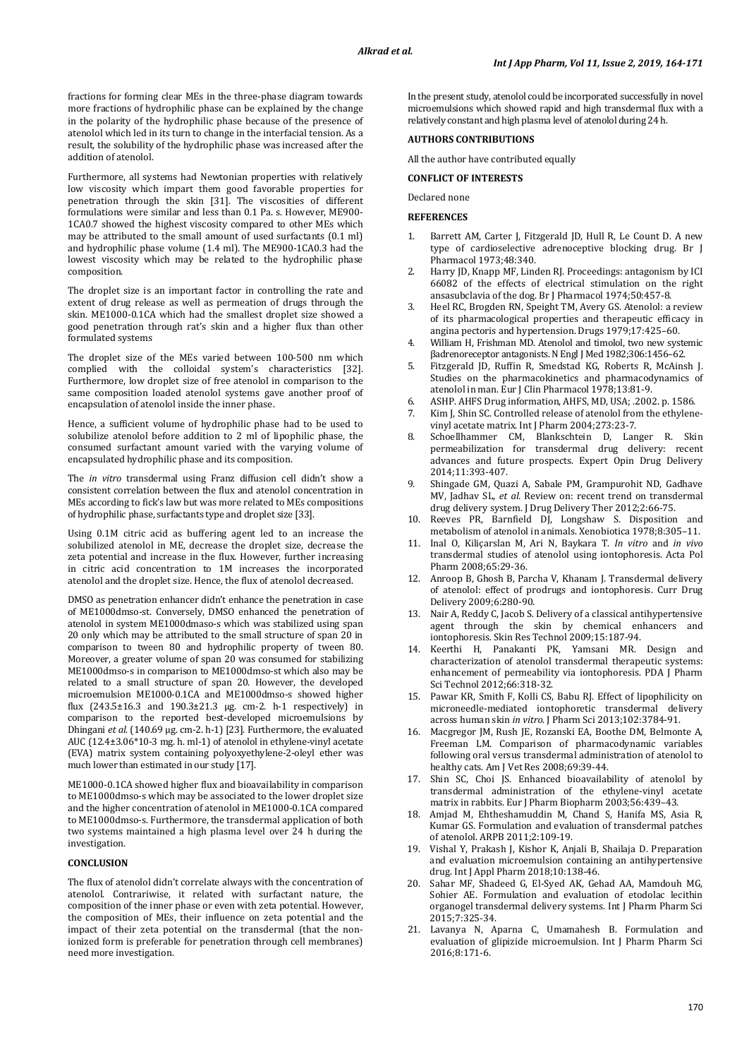fractions for forming clear MEs in the three-phase diagram towards more fractions of hydrophilic phase can be explained by the change in the polarity of the hydrophilic phase because of the presence of atenolol which led in its turn to change in the interfacial tension. As a result, the solubility of the hydrophilic phase was increased after the addition of atenolol.

Furthermore, all systems had Newtonian properties with relatively low viscosity which impart them good favorable properties for penetration through the skin [31]. The viscosities of different formulations were similar and less than 0.1 Pa. s. However, ME900- 1CA0.7 showed the highest viscosity compared to other MEs which may be attributed to the small amount of used surfactants (0.1 ml) and hydrophilic phase volume (1.4 ml). The ME900-1CA0.3 had the lowest viscosity which may be related to the hydrophilic phase composition.

The droplet size is an important factor in controlling the rate and extent of drug release as well as permeation of drugs through the skin. ME1000-0.1CA which had the smallest droplet size showed a good penetration through rat's skin and a higher flux than other formulated systems

The droplet size of the MEs varied between 100-500 nm which complied with the colloidal system's characteristics [32]. Furthermore, low droplet size of free atenolol in comparison to the same composition loaded atenolol systems gave another proof of encapsulation of atenolol inside the inner phase.

Hence, a sufficient volume of hydrophilic phase had to be used to solubilize atenolol before addition to 2 ml of lipophilic phase, the consumed surfactant amount varied with the varying volume of encapsulated hydrophilic phase and its composition.

The *in vitro* transdermal using Franz diffusion cell didn't show a consistent correlation between the flux and atenolol concentration in MEs according to fick's law but was more related to MEs compositions of hydrophilic phase, surfactants type and droplet size [33].

Using 0.1M citric acid as buffering agent led to an increase the solubilized atenolol in ME, decrease the droplet size, decrease the zeta potential and increase in the flux. However, further increasing in citric acid concentration to 1M increases the incorporated atenolol and the droplet size. Hence, the flux of atenolol decreased.

DMSO as penetration enhancer didn't enhance the penetration in case of ME1000dmso-st. Conversely, DMSO enhanced the penetration of atenolol in system ME1000dmaso-s which was stabilized using span 20 only which may be attributed to the small structure of span 20 in comparison to tween 80 and hydrophilic property of tween 80. Moreover, a greater volume of span 20 was consumed for stabilizing ME1000dmso-s in comparison to ME1000dmso-st which also may be related to a small structure of span 20. However, the developed microemulsion ME1000-0.1CA and ME1000dmso-s showed higher flux (243.5±16.3 and 190.3±21.3 µg. cm-2. h-1 respectively) in comparison to the reported best-developed microemulsions by Dhingani *et al.* (140.69 µg. cm-2. h-1) [23]. Furthermore, the evaluated AUC (12.4±3.06\*10-3 mg. h. ml-1) of atenolol in ethylene-vinyl acetate (EVA) matrix system containing polyoxyethylene-2-oleyl ether was much lower than estimated in our study [17].

ME1000-0.1CA showed higher flux and bioavailability in comparison to ME1000dmso-s which may be associated to the lower droplet size and the higher concentration of atenolol in ME1000-0.1CA compared to ME1000dmso-s. Furthermore, the transdermal application of both two systems maintained a high plasma level over 24 h during the investigation.

### **CONCLUSION**

The flux of atenolol didn't correlate always with the concentration of atenolol. Contrariwise, it related with surfactant nature, the composition of the inner phase or even with zeta potential. However, the composition of MEs, their influence on zeta potential and the impact of their zeta potential on the transdermal (that the nonionized form is preferable for penetration through cell membranes) need more investigation.

In the present study, atenolol could be incorporated successfully in novel microemulsions which showed rapid and high transdermal flux with a relatively constant and high plasma level of atenolol during 24 h.

#### **AUTHORS CONTRIBUTIONS**

All the author have contributed equally

#### **CONFLICT OF INTERESTS**

Declared none

#### **REFERENCES**

- Barrett AM, Carter J, Fitzgerald JD, Hull R, Le Count D. A new type of cardioselective adrenoceptive blocking drug. Br J Pharmacol 1973;48:340.
- 2. Harry JD, Knapp MF, Linden RJ. Proceedings: antagonism by ICI 66082 of the effects of electrical stimulation on the right ansasubclavia of the dog. Br J Pharmacol 1974;50:457-8.
- 3. Heel RC, Brogden RN, Speight TM, Avery GS. Atenolol: a review of its pharmacological properties and therapeutic efficacy in angina pectoris and hypertension. Drugs 1979;17:425–60.
- 4. William H, Frishman MD. Atenolol and timolol, two new systemic βadrenoreceptor antagonists.N Engl J Med 1982;306:1456–62.
- 5. Fitzgerald JD, Ruffin R, Smedstad KG, Roberts R, McAinsh J. Studies on the pharmacokinetics and pharmacodynamics of atenolol in man. Eur J Clin Pharmacol 1978;13:81-9.
- 6. ASHP. AHFS Drug information, AHFS, MD, USA; .2002. p. 1586.
- Kim J, Shin SC. Controlled release of atenolol from the ethylenevinyl acetate matrix. Int J Pharm 2004;273:23-7.
- 8. Schoellhammer CM, Blankschtein D, Langer R. Skin permeabilization for transdermal drug delivery: recent advances and future prospects. Expert Opin Drug Delivery 2014;11:393-407.
- 9. Shingade GM, Quazi A, Sabale PM, Grampurohit ND, Gadhave MV, Jadhav SL, *et al.* Review on: recent trend on transdermal drug delivery system. J Drug Delivery Ther 2012;2:66-75.
- 10. Reeves PR, Barnfield DJ, Longshaw S. Disposition and metabolism of atenolol in animals. Xenobiotica 1978;8:305–11.
- 11. Inal O, Kiliçarslan M, Ari N, Baykara T. *In vitro* and *in vivo* transdermal studies of atenolol using iontophoresis. Acta Pol Pharm 2008;65:29-36.
- 12. Anroop B, Ghosh B, Parcha V, Khanam J. Transdermal delivery of atenolol: effect of prodrugs and iontophoresis. Curr Drug Delivery 2009;6:280-90.
- 13. Nair A, Reddy C, Jacob S. Delivery of a classical antihypertensive agent through the skin by chemical enhancers and iontophoresis. Skin Res Technol 2009;15:187-94.
- 14. Keerthi H, Panakanti PK, Yamsani MR. Design and characterization of atenolol transdermal therapeutic systems: enhancement of permeability via iontophoresis. PDA J Pharm Sci Technol 2012;66:318-32.
- 15. Pawar KR, Smith F, Kolli CS, Babu RJ. Effect of lipophilicity on microneedle-mediated iontophoretic transdermal delivery across human skin *in vitro*. J Pharm Sci 2013;102:3784-91.
- 16. Macgregor JM, Rush JE, Rozanski EA, Boothe DM, Belmonte A, Freeman LM. Comparison of pharmacodynamic variables following oral versus transdermal administration of atenolol to healthy cats. Am J Vet Res 2008;69:39-44.
- 17. Shin SC, Choi JS. Enhanced bioavailability of atenolol by transdermal administration of the ethylene-vinyl acetate matrix in rabbits. Eur J Pharm Biopharm 2003;56:439–43.
- 18. Amjad M, Ehtheshamuddin M, Chand S, Hanifa MS, Asia R, Kumar GS. Formulation and evaluation of transdermal patches of atenolol. ARPB 2011;2:109-19.
- 19. Vishal Y, Prakash J, Kishor K, Anjali B, Shailaja D. Preparation and evaluation microemulsion containing an antihypertensive drug. Int J Appl Pharm 2018;10:138-46.
- 20. Sahar MF, Shadeed G, El-Syed AK, Gehad AA, Mamdouh MG, Sohier AE. Formulation and evaluation of etodolac lecithin organogel transdermal delivery systems. Int J Pharm Pharm Sci 2015;7:325-34.
- 21. Lavanya N, Aparna C, Umamahesh B. Formulation and evaluation of glipizide microemulsion. Int J Pharm Pharm Sci 2016;8:171-6.